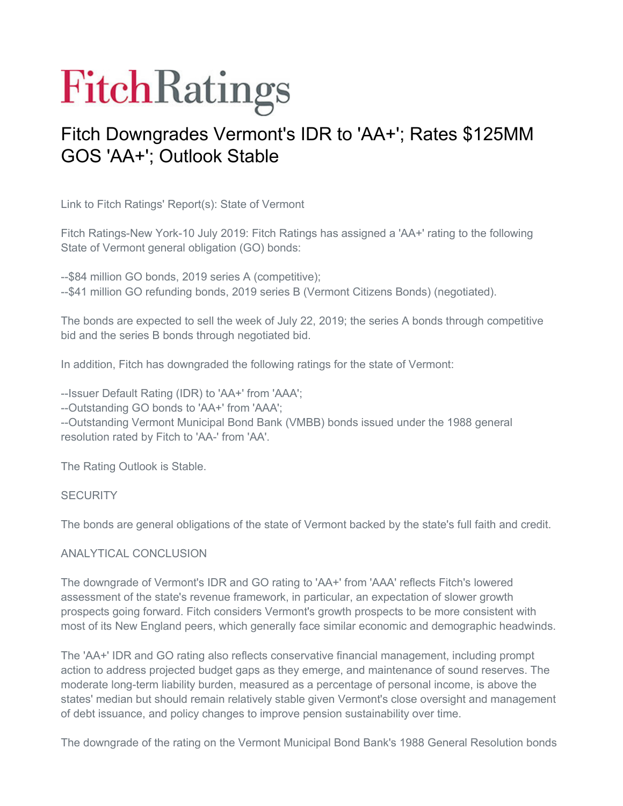# **Fitch Ratings**

# Fitch Downgrades Vermont's IDR to 'AA+'; Rates \$125MM GOS 'AA+'; Outlook Stable

Link to Fitch Ratings' Report(s): State of Vermont

Fitch Ratings-New York-10 July 2019: Fitch Ratings has assigned a 'AA+' rating to the following State of Vermont general obligation (GO) bonds:

--\$84 million GO bonds, 2019 series A (competitive); --\$41 million GO refunding bonds, 2019 series B (Vermont Citizens Bonds) (negotiated).

The bonds are expected to sell the week of July 22, 2019; the series A bonds through competitive bid and the series B bonds through negotiated bid.

In addition, Fitch has downgraded the following ratings for the state of Vermont:

--Issuer Default Rating (IDR) to 'AA+' from 'AAA';

--Outstanding GO bonds to 'AA+' from 'AAA';

--Outstanding Vermont Municipal Bond Bank (VMBB) bonds issued under the 1988 general resolution rated by Fitch to 'AA-' from 'AA'.

The Rating Outlook is Stable.

#### **SECURITY**

The bonds are general obligations of the state of Vermont backed by the state's full faith and credit.

#### ANALYTICAL CONCLUSION

The downgrade of Vermont's IDR and GO rating to 'AA+' from 'AAA' reflects Fitch's lowered assessment of the state's revenue framework, in particular, an expectation of slower growth prospects going forward. Fitch considers Vermont's growth prospects to be more consistent with most of its New England peers, which generally face similar economic and demographic headwinds.

The 'AA+' IDR and GO rating also reflects conservative financial management, including prompt action to address projected budget gaps as they emerge, and maintenance of sound reserves. The moderate long-term liability burden, measured as a percentage of personal income, is above the states' median but should remain relatively stable given Vermont's close oversight and management of debt issuance, and policy changes to improve pension sustainability over time.

The downgrade of the rating on the Vermont Municipal Bond Bank's 1988 General Resolution bonds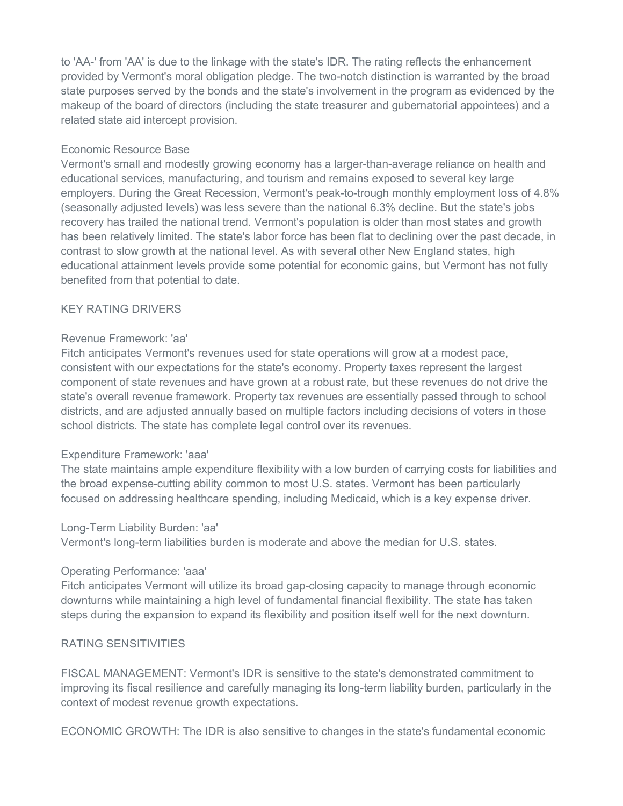to 'AA-' from 'AA' is due to the linkage with the state's IDR. The rating reflects the enhancement provided by Vermont's moral obligation pledge. The two-notch distinction is warranted by the broad state purposes served by the bonds and the state's involvement in the program as evidenced by the makeup of the board of directors (including the state treasurer and gubernatorial appointees) and a related state aid intercept provision.

#### Economic Resource Base

Vermont's small and modestly growing economy has a larger-than-average reliance on health and educational services, manufacturing, and tourism and remains exposed to several key large employers. During the Great Recession, Vermont's peak-to-trough monthly employment loss of 4.8% (seasonally adjusted levels) was less severe than the national 6.3% decline. But the state's jobs recovery has trailed the national trend. Vermont's population is older than most states and growth has been relatively limited. The state's labor force has been flat to declining over the past decade, in contrast to slow growth at the national level. As with several other New England states, high educational attainment levels provide some potential for economic gains, but Vermont has not fully benefited from that potential to date.

#### KEY RATING DRIVERS

#### Revenue Framework: 'aa'

Fitch anticipates Vermont's revenues used for state operations will grow at a modest pace, consistent with our expectations for the state's economy. Property taxes represent the largest component of state revenues and have grown at a robust rate, but these revenues do not drive the state's overall revenue framework. Property tax revenues are essentially passed through to school districts, and are adjusted annually based on multiple factors including decisions of voters in those school districts. The state has complete legal control over its revenues.

#### Expenditure Framework: 'aaa'

The state maintains ample expenditure flexibility with a low burden of carrying costs for liabilities and the broad expense-cutting ability common to most U.S. states. Vermont has been particularly focused on addressing healthcare spending, including Medicaid, which is a key expense driver.

#### Long-Term Liability Burden: 'aa'

Vermont's long-term liabilities burden is moderate and above the median for U.S. states.

#### Operating Performance: 'aaa'

Fitch anticipates Vermont will utilize its broad gap-closing capacity to manage through economic downturns while maintaining a high level of fundamental financial flexibility. The state has taken steps during the expansion to expand its flexibility and position itself well for the next downturn.

### RATING SENSITIVITIES

FISCAL MANAGEMENT: Vermont's IDR is sensitive to the state's demonstrated commitment to improving its fiscal resilience and carefully managing its long-term liability burden, particularly in the context of modest revenue growth expectations.

ECONOMIC GROWTH: The IDR is also sensitive to changes in the state's fundamental economic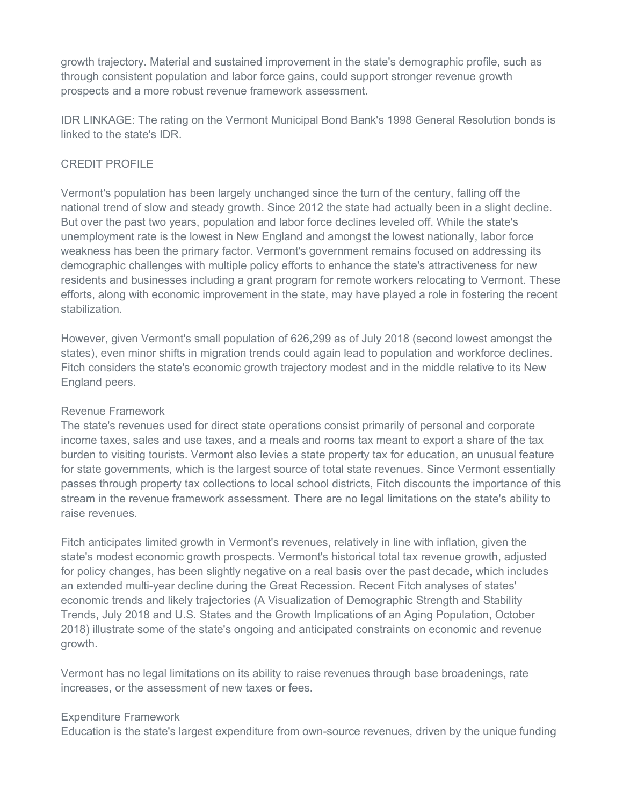growth trajectory. Material and sustained improvement in the state's demographic profile, such as through consistent population and labor force gains, could support stronger revenue growth prospects and a more robust revenue framework assessment.

IDR LINKAGE: The rating on the Vermont Municipal Bond Bank's 1998 General Resolution bonds is linked to the state's IDR.

#### CREDIT PROFILE

Vermont's population has been largely unchanged since the turn of the century, falling off the national trend of slow and steady growth. Since 2012 the state had actually been in a slight decline. But over the past two years, population and labor force declines leveled off. While the state's unemployment rate is the lowest in New England and amongst the lowest nationally, labor force weakness has been the primary factor. Vermont's government remains focused on addressing its demographic challenges with multiple policy efforts to enhance the state's attractiveness for new residents and businesses including a grant program for remote workers relocating to Vermont. These efforts, along with economic improvement in the state, may have played a role in fostering the recent stabilization.

However, given Vermont's small population of 626,299 as of July 2018 (second lowest amongst the states), even minor shifts in migration trends could again lead to population and workforce declines. Fitch considers the state's economic growth trajectory modest and in the middle relative to its New England peers.

#### Revenue Framework

The state's revenues used for direct state operations consist primarily of personal and corporate income taxes, sales and use taxes, and a meals and rooms tax meant to export a share of the tax burden to visiting tourists. Vermont also levies a state property tax for education, an unusual feature for state governments, which is the largest source of total state revenues. Since Vermont essentially passes through property tax collections to local school districts, Fitch discounts the importance of this stream in the revenue framework assessment. There are no legal limitations on the state's ability to raise revenues.

Fitch anticipates limited growth in Vermont's revenues, relatively in line with inflation, given the state's modest economic growth prospects. Vermont's historical total tax revenue growth, adjusted for policy changes, has been slightly negative on a real basis over the past decade, which includes an extended multi-year decline during the Great Recession. Recent Fitch analyses of states' economic trends and likely trajectories (A Visualization of Demographic Strength and Stability Trends, July 2018 and U.S. States and the Growth Implications of an Aging Population, October 2018) illustrate some of the state's ongoing and anticipated constraints on economic and revenue growth.

Vermont has no legal limitations on its ability to raise revenues through base broadenings, rate increases, or the assessment of new taxes or fees.

#### Expenditure Framework

Education is the state's largest expenditure from own-source revenues, driven by the unique funding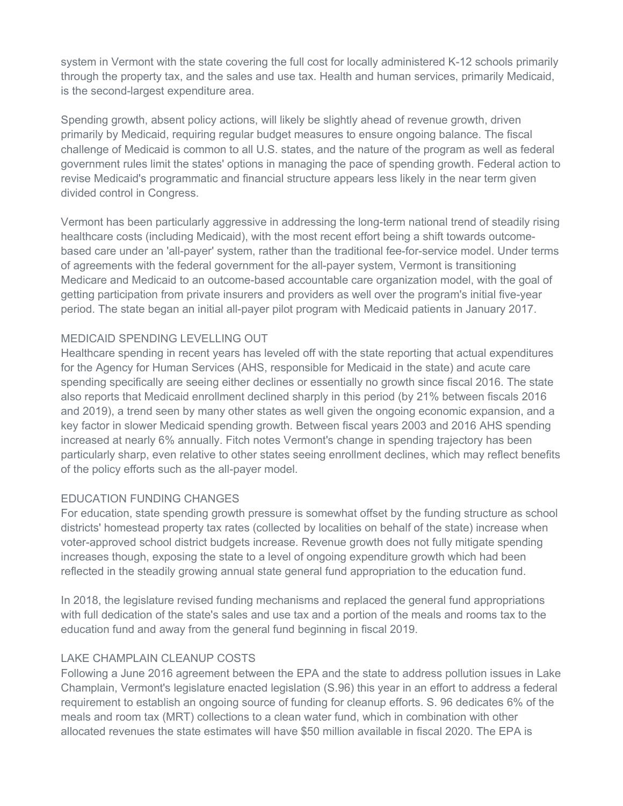system in Vermont with the state covering the full cost for locally administered K-12 schools primarily through the property tax, and the sales and use tax. Health and human services, primarily Medicaid, is the second-largest expenditure area.

Spending growth, absent policy actions, will likely be slightly ahead of revenue growth, driven primarily by Medicaid, requiring regular budget measures to ensure ongoing balance. The fiscal challenge of Medicaid is common to all U.S. states, and the nature of the program as well as federal government rules limit the states' options in managing the pace of spending growth. Federal action to revise Medicaid's programmatic and financial structure appears less likely in the near term given divided control in Congress.

Vermont has been particularly aggressive in addressing the long-term national trend of steadily rising healthcare costs (including Medicaid), with the most recent effort being a shift towards outcomebased care under an 'all-payer' system, rather than the traditional fee-for-service model. Under terms of agreements with the federal government for the all-payer system, Vermont is transitioning Medicare and Medicaid to an outcome-based accountable care organization model, with the goal of getting participation from private insurers and providers as well over the program's initial five-year period. The state began an initial all-payer pilot program with Medicaid patients in January 2017.

#### MEDICAID SPENDING LEVELLING OUT

Healthcare spending in recent years has leveled off with the state reporting that actual expenditures for the Agency for Human Services (AHS, responsible for Medicaid in the state) and acute care spending specifically are seeing either declines or essentially no growth since fiscal 2016. The state also reports that Medicaid enrollment declined sharply in this period (by 21% between fiscals 2016 and 2019), a trend seen by many other states as well given the ongoing economic expansion, and a key factor in slower Medicaid spending growth. Between fiscal years 2003 and 2016 AHS spending increased at nearly 6% annually. Fitch notes Vermont's change in spending trajectory has been particularly sharp, even relative to other states seeing enrollment declines, which may reflect benefits of the policy efforts such as the all-payer model.

#### EDUCATION FUNDING CHANGES

For education, state spending growth pressure is somewhat offset by the funding structure as school districts' homestead property tax rates (collected by localities on behalf of the state) increase when voter-approved school district budgets increase. Revenue growth does not fully mitigate spending increases though, exposing the state to a level of ongoing expenditure growth which had been reflected in the steadily growing annual state general fund appropriation to the education fund.

In 2018, the legislature revised funding mechanisms and replaced the general fund appropriations with full dedication of the state's sales and use tax and a portion of the meals and rooms tax to the education fund and away from the general fund beginning in fiscal 2019.

#### LAKE CHAMPLAIN CLEANUP COSTS

Following a June 2016 agreement between the EPA and the state to address pollution issues in Lake Champlain, Vermont's legislature enacted legislation (S.96) this year in an effort to address a federal requirement to establish an ongoing source of funding for cleanup efforts. S. 96 dedicates 6% of the meals and room tax (MRT) collections to a clean water fund, which in combination with other allocated revenues the state estimates will have \$50 million available in fiscal 2020. The EPA is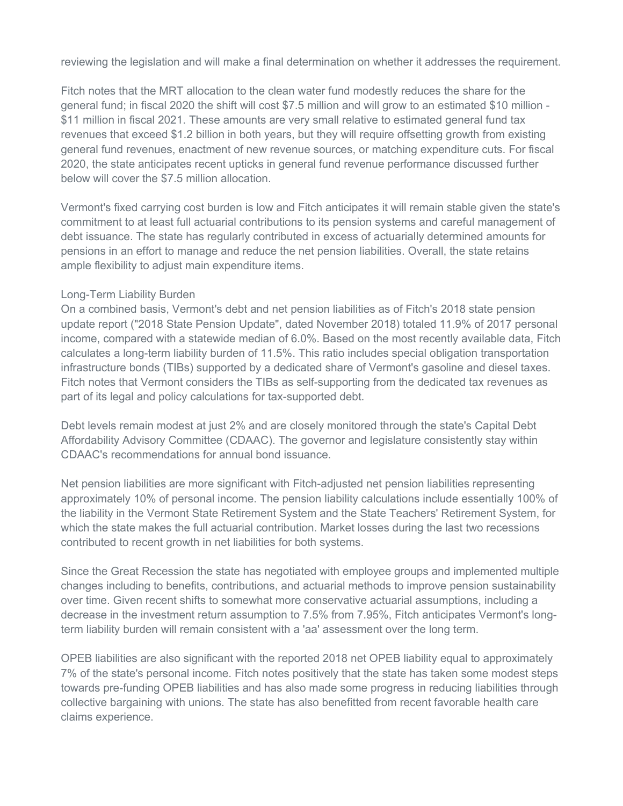reviewing the legislation and will make a final determination on whether it addresses the requirement.

Fitch notes that the MRT allocation to the clean water fund modestly reduces the share for the general fund; in fiscal 2020 the shift will cost \$7.5 million and will grow to an estimated \$10 million - \$11 million in fiscal 2021. These amounts are very small relative to estimated general fund tax revenues that exceed \$1.2 billion in both years, but they will require offsetting growth from existing general fund revenues, enactment of new revenue sources, or matching expenditure cuts. For fiscal 2020, the state anticipates recent upticks in general fund revenue performance discussed further below will cover the \$7.5 million allocation.

Vermont's fixed carrying cost burden is low and Fitch anticipates it will remain stable given the state's commitment to at least full actuarial contributions to its pension systems and careful management of debt issuance. The state has regularly contributed in excess of actuarially determined amounts for pensions in an effort to manage and reduce the net pension liabilities. Overall, the state retains ample flexibility to adjust main expenditure items.

#### Long-Term Liability Burden

On a combined basis, Vermont's debt and net pension liabilities as of Fitch's 2018 state pension update report ("2018 State Pension Update", dated November 2018) totaled 11.9% of 2017 personal income, compared with a statewide median of 6.0%. Based on the most recently available data, Fitch calculates a long-term liability burden of 11.5%. This ratio includes special obligation transportation infrastructure bonds (TIBs) supported by a dedicated share of Vermont's gasoline and diesel taxes. Fitch notes that Vermont considers the TIBs as self-supporting from the dedicated tax revenues as part of its legal and policy calculations for tax-supported debt.

Debt levels remain modest at just 2% and are closely monitored through the state's Capital Debt Affordability Advisory Committee (CDAAC). The governor and legislature consistently stay within CDAAC's recommendations for annual bond issuance.

Net pension liabilities are more significant with Fitch-adjusted net pension liabilities representing approximately 10% of personal income. The pension liability calculations include essentially 100% of the liability in the Vermont State Retirement System and the State Teachers' Retirement System, for which the state makes the full actuarial contribution. Market losses during the last two recessions contributed to recent growth in net liabilities for both systems.

Since the Great Recession the state has negotiated with employee groups and implemented multiple changes including to benefits, contributions, and actuarial methods to improve pension sustainability over time. Given recent shifts to somewhat more conservative actuarial assumptions, including a decrease in the investment return assumption to 7.5% from 7.95%, Fitch anticipates Vermont's longterm liability burden will remain consistent with a 'aa' assessment over the long term.

OPEB liabilities are also significant with the reported 2018 net OPEB liability equal to approximately 7% of the state's personal income. Fitch notes positively that the state has taken some modest steps towards pre-funding OPEB liabilities and has also made some progress in reducing liabilities through collective bargaining with unions. The state has also benefitted from recent favorable health care claims experience.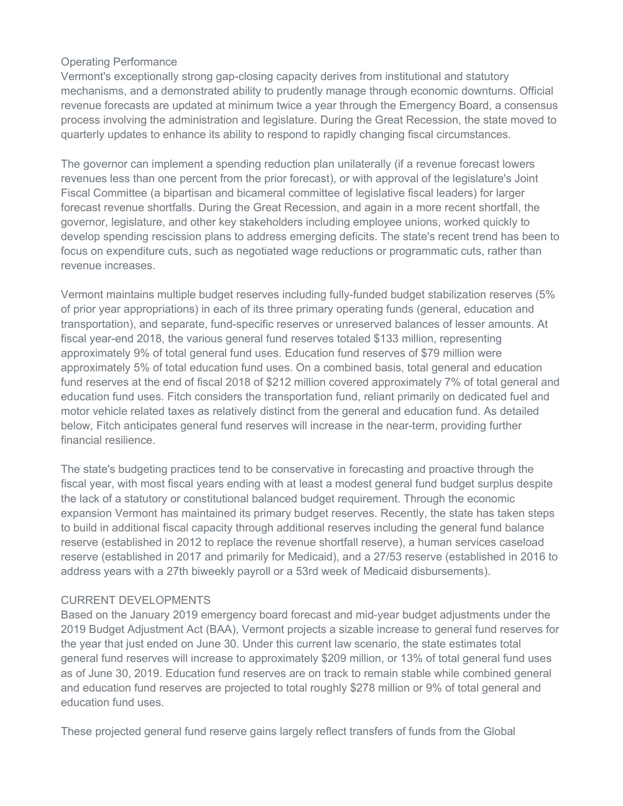#### Operating Performance

Vermont's exceptionally strong gap-closing capacity derives from institutional and statutory mechanisms, and a demonstrated ability to prudently manage through economic downturns. Official revenue forecasts are updated at minimum twice a year through the Emergency Board, a consensus process involving the administration and legislature. During the Great Recession, the state moved to quarterly updates to enhance its ability to respond to rapidly changing fiscal circumstances.

The governor can implement a spending reduction plan unilaterally (if a revenue forecast lowers revenues less than one percent from the prior forecast), or with approval of the legislature's Joint Fiscal Committee (a bipartisan and bicameral committee of legislative fiscal leaders) for larger forecast revenue shortfalls. During the Great Recession, and again in a more recent shortfall, the governor, legislature, and other key stakeholders including employee unions, worked quickly to develop spending rescission plans to address emerging deficits. The state's recent trend has been to focus on expenditure cuts, such as negotiated wage reductions or programmatic cuts, rather than revenue increases.

Vermont maintains multiple budget reserves including fully-funded budget stabilization reserves (5% of prior year appropriations) in each of its three primary operating funds (general, education and transportation), and separate, fund-specific reserves or unreserved balances of lesser amounts. At fiscal year-end 2018, the various general fund reserves totaled \$133 million, representing approximately 9% of total general fund uses. Education fund reserves of \$79 million were approximately 5% of total education fund uses. On a combined basis, total general and education fund reserves at the end of fiscal 2018 of \$212 million covered approximately 7% of total general and education fund uses. Fitch considers the transportation fund, reliant primarily on dedicated fuel and motor vehicle related taxes as relatively distinct from the general and education fund. As detailed below, Fitch anticipates general fund reserves will increase in the near-term, providing further financial resilience.

The state's budgeting practices tend to be conservative in forecasting and proactive through the fiscal year, with most fiscal years ending with at least a modest general fund budget surplus despite the lack of a statutory or constitutional balanced budget requirement. Through the economic expansion Vermont has maintained its primary budget reserves. Recently, the state has taken steps to build in additional fiscal capacity through additional reserves including the general fund balance reserve (established in 2012 to replace the revenue shortfall reserve), a human services caseload reserve (established in 2017 and primarily for Medicaid), and a 27/53 reserve (established in 2016 to address years with a 27th biweekly payroll or a 53rd week of Medicaid disbursements).

#### CURRENT DEVELOPMENTS

Based on the January 2019 emergency board forecast and mid-year budget adjustments under the 2019 Budget Adjustment Act (BAA), Vermont projects a sizable increase to general fund reserves for the year that just ended on June 30. Under this current law scenario, the state estimates total general fund reserves will increase to approximately \$209 million, or 13% of total general fund uses as of June 30, 2019. Education fund reserves are on track to remain stable while combined general and education fund reserves are projected to total roughly \$278 million or 9% of total general and education fund uses.

These projected general fund reserve gains largely reflect transfers of funds from the Global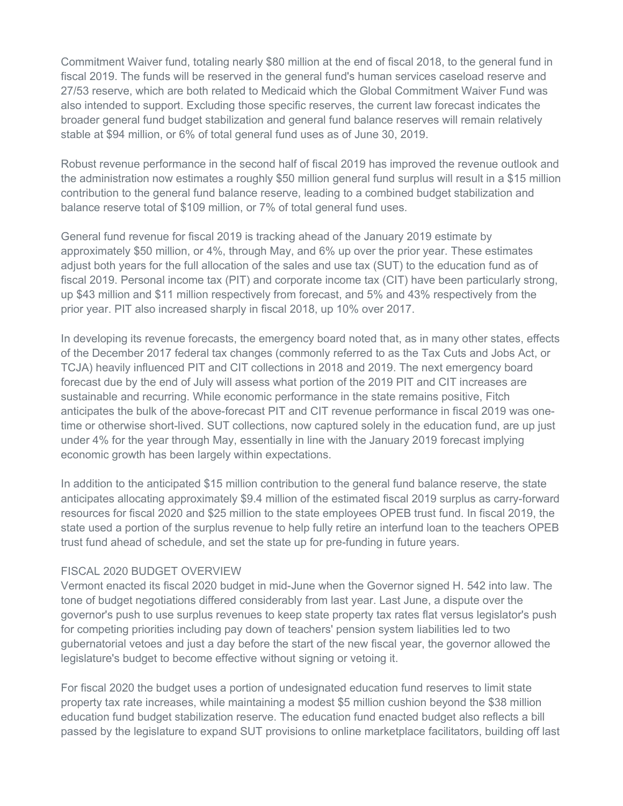Commitment Waiver fund, totaling nearly \$80 million at the end of fiscal 2018, to the general fund in fiscal 2019. The funds will be reserved in the general fund's human services caseload reserve and 27/53 reserve, which are both related to Medicaid which the Global Commitment Waiver Fund was also intended to support. Excluding those specific reserves, the current law forecast indicates the broader general fund budget stabilization and general fund balance reserves will remain relatively stable at \$94 million, or 6% of total general fund uses as of June 30, 2019.

Robust revenue performance in the second half of fiscal 2019 has improved the revenue outlook and the administration now estimates a roughly \$50 million general fund surplus will result in a \$15 million contribution to the general fund balance reserve, leading to a combined budget stabilization and balance reserve total of \$109 million, or 7% of total general fund uses.

General fund revenue for fiscal 2019 is tracking ahead of the January 2019 estimate by approximately \$50 million, or 4%, through May, and 6% up over the prior year. These estimates adjust both years for the full allocation of the sales and use tax (SUT) to the education fund as of fiscal 2019. Personal income tax (PIT) and corporate income tax (CIT) have been particularly strong, up \$43 million and \$11 million respectively from forecast, and 5% and 43% respectively from the prior year. PIT also increased sharply in fiscal 2018, up 10% over 2017.

In developing its revenue forecasts, the emergency board noted that, as in many other states, effects of the December 2017 federal tax changes (commonly referred to as the Tax Cuts and Jobs Act, or TCJA) heavily influenced PIT and CIT collections in 2018 and 2019. The next emergency board forecast due by the end of July will assess what portion of the 2019 PIT and CIT increases are sustainable and recurring. While economic performance in the state remains positive, Fitch anticipates the bulk of the above-forecast PIT and CIT revenue performance in fiscal 2019 was onetime or otherwise short-lived. SUT collections, now captured solely in the education fund, are up just under 4% for the year through May, essentially in line with the January 2019 forecast implying economic growth has been largely within expectations.

In addition to the anticipated \$15 million contribution to the general fund balance reserve, the state anticipates allocating approximately \$9.4 million of the estimated fiscal 2019 surplus as carry-forward resources for fiscal 2020 and \$25 million to the state employees OPEB trust fund. In fiscal 2019, the state used a portion of the surplus revenue to help fully retire an interfund loan to the teachers OPEB trust fund ahead of schedule, and set the state up for pre-funding in future years.

#### FISCAL 2020 BUDGET OVERVIEW

Vermont enacted its fiscal 2020 budget in mid-June when the Governor signed H. 542 into law. The tone of budget negotiations differed considerably from last year. Last June, a dispute over the governor's push to use surplus revenues to keep state property tax rates flat versus legislator's push for competing priorities including pay down of teachers' pension system liabilities led to two gubernatorial vetoes and just a day before the start of the new fiscal year, the governor allowed the legislature's budget to become effective without signing or vetoing it.

For fiscal 2020 the budget uses a portion of undesignated education fund reserves to limit state property tax rate increases, while maintaining a modest \$5 million cushion beyond the \$38 million education fund budget stabilization reserve. The education fund enacted budget also reflects a bill passed by the legislature to expand SUT provisions to online marketplace facilitators, building off last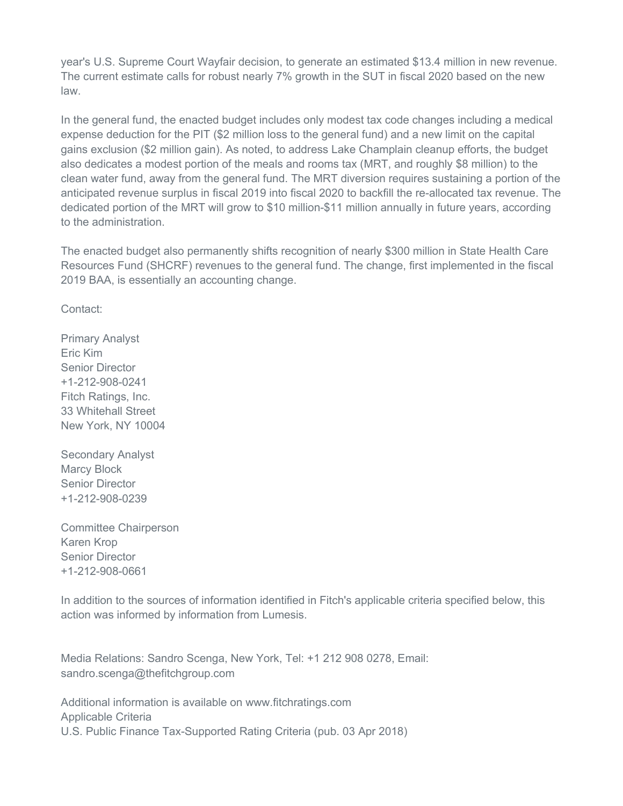year's U.S. Supreme Court Wayfair decision, to generate an estimated \$13.4 million in new revenue. The current estimate calls for robust nearly 7% growth in the SUT in fiscal 2020 based on the new law.

In the general fund, the enacted budget includes only modest tax code changes including a medical expense deduction for the PIT (\$2 million loss to the general fund) and a new limit on the capital gains exclusion (\$2 million gain). As noted, to address Lake Champlain cleanup efforts, the budget also dedicates a modest portion of the meals and rooms tax (MRT, and roughly \$8 million) to the clean water fund, away from the general fund. The MRT diversion requires sustaining a portion of the anticipated revenue surplus in fiscal 2019 into fiscal 2020 to backfill the re-allocated tax revenue. The dedicated portion of the MRT will grow to \$10 million-\$11 million annually in future years, according to the administration.

The enacted budget also permanently shifts recognition of nearly \$300 million in State Health Care Resources Fund (SHCRF) revenues to the general fund. The change, first implemented in the fiscal 2019 BAA, is essentially an accounting change.

Contact:

Primary Analyst Eric Kim Senior Director +1-212-908-0241 Fitch Ratings, Inc. 33 Whitehall Street New York, NY 10004

Secondary Analyst Marcy Block Senior Director +1-212-908-0239

Committee Chairperson Karen Krop Senior Director +1-212-908-0661

In addition to the sources of information identified in Fitch's applicable criteria specified below, this action was informed by information from Lumesis.

Media Relations: Sandro Scenga, New York, Tel: +1 212 908 0278, Email: sandro.scenga@thefitchgroup.com

Additional information is available on www.fitchratings.com Applicable Criteria U.S. Public Finance Tax-Supported Rating Criteria (pub. 03 Apr 2018)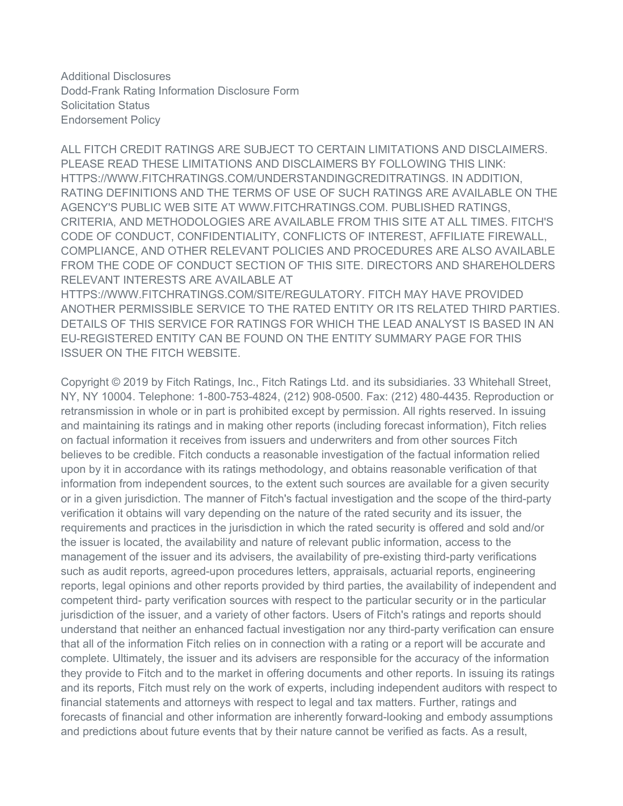Additional Disclosures Dodd-Frank Rating Information Disclosure Form Solicitation Status Endorsement Policy

ALL FITCH CREDIT RATINGS ARE SUBJECT TO CERTAIN LIMITATIONS AND DISCLAIMERS. PLEASE READ THESE LIMITATIONS AND DISCLAIMERS BY FOLLOWING THIS LINK: HTTPS://WWW.FITCHRATINGS.COM/UNDERSTANDINGCREDITRATINGS. IN ADDITION, RATING DEFINITIONS AND THE TERMS OF USE OF SUCH RATINGS ARE AVAILABLE ON THE AGENCY'S PUBLIC WEB SITE AT WWW.FITCHRATINGS.COM. PUBLISHED RATINGS, CRITERIA, AND METHODOLOGIES ARE AVAILABLE FROM THIS SITE AT ALL TIMES. FITCH'S CODE OF CONDUCT, CONFIDENTIALITY, CONFLICTS OF INTEREST, AFFILIATE FIREWALL, COMPLIANCE, AND OTHER RELEVANT POLICIES AND PROCEDURES ARE ALSO AVAILABLE FROM THE CODE OF CONDUCT SECTION OF THIS SITE. DIRECTORS AND SHAREHOLDERS RELEVANT INTERESTS ARE AVAILABLE AT

HTTPS://WWW.FITCHRATINGS.COM/SITE/REGULATORY. FITCH MAY HAVE PROVIDED ANOTHER PERMISSIBLE SERVICE TO THE RATED ENTITY OR ITS RELATED THIRD PARTIES. DETAILS OF THIS SERVICE FOR RATINGS FOR WHICH THE LEAD ANALYST IS BASED IN AN EU-REGISTERED ENTITY CAN BE FOUND ON THE ENTITY SUMMARY PAGE FOR THIS ISSUER ON THE FITCH WEBSITE.

Copyright © 2019 by Fitch Ratings, Inc., Fitch Ratings Ltd. and its subsidiaries. 33 Whitehall Street, NY, NY 10004. Telephone: 1-800-753-4824, (212) 908-0500. Fax: (212) 480-4435. Reproduction or retransmission in whole or in part is prohibited except by permission. All rights reserved. In issuing and maintaining its ratings and in making other reports (including forecast information), Fitch relies on factual information it receives from issuers and underwriters and from other sources Fitch believes to be credible. Fitch conducts a reasonable investigation of the factual information relied upon by it in accordance with its ratings methodology, and obtains reasonable verification of that information from independent sources, to the extent such sources are available for a given security or in a given jurisdiction. The manner of Fitch's factual investigation and the scope of the third-party verification it obtains will vary depending on the nature of the rated security and its issuer, the requirements and practices in the jurisdiction in which the rated security is offered and sold and/or the issuer is located, the availability and nature of relevant public information, access to the management of the issuer and its advisers, the availability of pre-existing third-party verifications such as audit reports, agreed-upon procedures letters, appraisals, actuarial reports, engineering reports, legal opinions and other reports provided by third parties, the availability of independent and competent third- party verification sources with respect to the particular security or in the particular jurisdiction of the issuer, and a variety of other factors. Users of Fitch's ratings and reports should understand that neither an enhanced factual investigation nor any third-party verification can ensure that all of the information Fitch relies on in connection with a rating or a report will be accurate and complete. Ultimately, the issuer and its advisers are responsible for the accuracy of the information they provide to Fitch and to the market in offering documents and other reports. In issuing its ratings and its reports, Fitch must rely on the work of experts, including independent auditors with respect to financial statements and attorneys with respect to legal and tax matters. Further, ratings and forecasts of financial and other information are inherently forward-looking and embody assumptions and predictions about future events that by their nature cannot be verified as facts. As a result,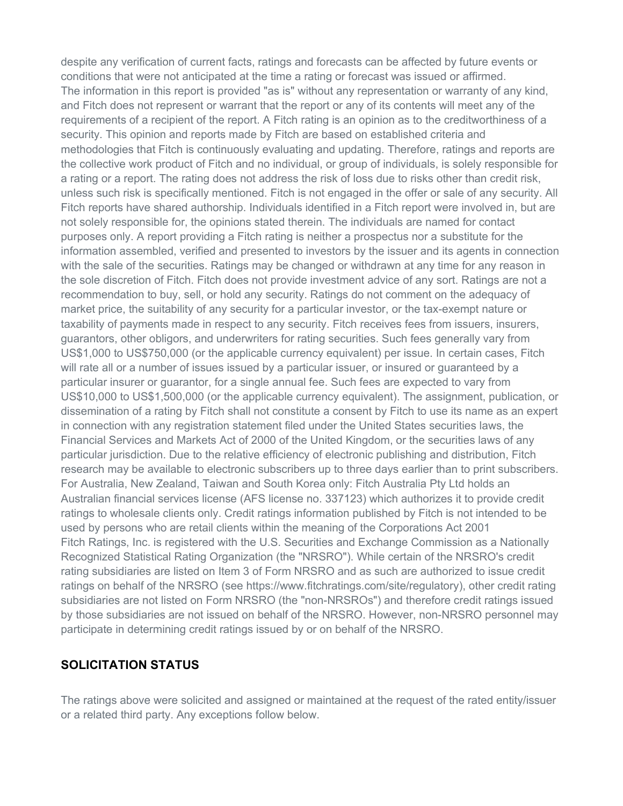despite any verification of current facts, ratings and forecasts can be affected by future events or conditions that were not anticipated at the time a rating or forecast was issued or affirmed. The information in this report is provided "as is" without any representation or warranty of any kind, and Fitch does not represent or warrant that the report or any of its contents will meet any of the requirements of a recipient of the report. A Fitch rating is an opinion as to the creditworthiness of a security. This opinion and reports made by Fitch are based on established criteria and methodologies that Fitch is continuously evaluating and updating. Therefore, ratings and reports are the collective work product of Fitch and no individual, or group of individuals, is solely responsible for a rating or a report. The rating does not address the risk of loss due to risks other than credit risk, unless such risk is specifically mentioned. Fitch is not engaged in the offer or sale of any security. All Fitch reports have shared authorship. Individuals identified in a Fitch report were involved in, but are not solely responsible for, the opinions stated therein. The individuals are named for contact purposes only. A report providing a Fitch rating is neither a prospectus nor a substitute for the information assembled, verified and presented to investors by the issuer and its agents in connection with the sale of the securities. Ratings may be changed or withdrawn at any time for any reason in the sole discretion of Fitch. Fitch does not provide investment advice of any sort. Ratings are not a recommendation to buy, sell, or hold any security. Ratings do not comment on the adequacy of market price, the suitability of any security for a particular investor, or the tax-exempt nature or taxability of payments made in respect to any security. Fitch receives fees from issuers, insurers, guarantors, other obligors, and underwriters for rating securities. Such fees generally vary from US\$1,000 to US\$750,000 (or the applicable currency equivalent) per issue. In certain cases, Fitch will rate all or a number of issues issued by a particular issuer, or insured or guaranteed by a particular insurer or guarantor, for a single annual fee. Such fees are expected to vary from US\$10,000 to US\$1,500,000 (or the applicable currency equivalent). The assignment, publication, or dissemination of a rating by Fitch shall not constitute a consent by Fitch to use its name as an expert in connection with any registration statement filed under the United States securities laws, the Financial Services and Markets Act of 2000 of the United Kingdom, or the securities laws of any particular jurisdiction. Due to the relative efficiency of electronic publishing and distribution, Fitch research may be available to electronic subscribers up to three days earlier than to print subscribers. For Australia, New Zealand, Taiwan and South Korea only: Fitch Australia Pty Ltd holds an Australian financial services license (AFS license no. 337123) which authorizes it to provide credit ratings to wholesale clients only. Credit ratings information published by Fitch is not intended to be used by persons who are retail clients within the meaning of the Corporations Act 2001 Fitch Ratings, Inc. is registered with the U.S. Securities and Exchange Commission as a Nationally Recognized Statistical Rating Organization (the "NRSRO"). While certain of the NRSRO's credit rating subsidiaries are listed on Item 3 of Form NRSRO and as such are authorized to issue credit ratings on behalf of the NRSRO (see https://www.fitchratings.com/site/regulatory), other credit rating subsidiaries are not listed on Form NRSRO (the "non-NRSROs") and therefore credit ratings issued by those subsidiaries are not issued on behalf of the NRSRO. However, non-NRSRO personnel may participate in determining credit ratings issued by or on behalf of the NRSRO.

#### **SOLICITATION STATUS**

The ratings above were solicited and assigned or maintained at the request of the rated entity/issuer or a related third party. Any exceptions follow below.